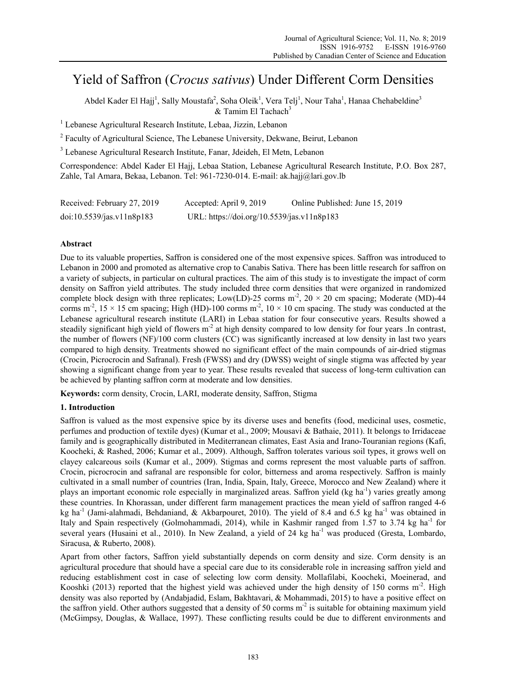# Yield of Saffron (*Crocus sativus*) Under Different Corm Densities

Abdel Kader El Hajj<sup>1</sup>, Sally Moustafa<sup>2</sup>, Soha Oleik<sup>1</sup>, Vera Telj<sup>1</sup>, Nour Taha<sup>1</sup>, Hanaa Chehabeldine<sup>3</sup>  $&$  Tamim El Tachach<sup>3</sup>

<sup>1</sup> Lebanese Agricultural Research Institute, Lebaa, Jizzin, Lebanon

<sup>2</sup> Faculty of Agricultural Science, The Lebanese University, Dekwane, Beirut, Lebanon

3 Lebanese Agricultural Research Institute, Fanar, Jdeideh, El Metn, Lebanon

Correspondence: Abdel Kader El Hajj, Lebaa Station, Lebanese Agricultural Research Institute, P.O. Box 287, Zahle, Tal Amara, Bekaa, Lebanon. Tel: 961-7230-014. E-mail: ak.hajj@lari.gov.lb

| Received: February 27, 2019 | Accepted: April 9, 2019                    | Online Published: June 15, 2019 |
|-----------------------------|--------------------------------------------|---------------------------------|
| doi:10.5539/jas.v11n8p183   | URL: https://doi.org/10.5539/jas.v11n8p183 |                                 |

# **Abstract**

Due to its valuable properties, Saffron is considered one of the most expensive spices. Saffron was introduced to Lebanon in 2000 and promoted as alternative crop to Canabis Sativa. There has been little research for saffron on a variety of subjects, in particular on cultural practices. The aim of this study is to investigate the impact of corm density on Saffron yield attributes. The study included three corm densities that were organized in randomized complete block design with three replicates; Low(LD)-25 corms  $m^2$ , 20 × 20 cm spacing; Moderate (MD)-44 corms m<sup>-2</sup>,  $15 \times 15$  cm spacing; High (HD)-100 corms m<sup>-2</sup>,  $10 \times 10$  cm spacing. The study was conducted at the Lebanese agricultural research institute (LARI) in Lebaa station for four consecutive years. Results showed a steadily significant high yield of flowers  $m<sup>2</sup>$  at high density compared to low density for four years .In contrast, the number of flowers (NF)/100 corm clusters (CC) was significantly increased at low density in last two years compared to high density. Treatments showed no significant effect of the main compounds of air-dried stigmas (Crocin, Picrocrocin and Safranal). Fresh (FWSS) and dry (DWSS) weight of single stigma was affected by year showing a significant change from year to year. These results revealed that success of long-term cultivation can be achieved by planting saffron corm at moderate and low densities.

**Keywords:** corm density, Crocin, LARI, moderate density, Saffron, Stigma

# **1. Introduction**

Saffron is valued as the most expensive spice by its diverse uses and benefits (food, medicinal uses, cosmetic, perfumes and production of textile dyes) (Kumar et al., 2009; Mousavi & Bathaie, 2011). It belongs to Irridaceae family and is geographically distributed in Mediterranean climates, East Asia and Irano-Touranian regions (Kafi, Koocheki, & Rashed, 2006; Kumar et al., 2009). Although, Saffron tolerates various soil types, it grows well on clayey calcareous soils (Kumar et al., 2009). Stigmas and corms represent the most valuable parts of saffron. Crocin, picrocrocin and safranal are responsible for color, bitterness and aroma respectively. Saffron is mainly cultivated in a small number of countries (Iran, India, Spain, Italy, Greece, Morocco and New Zealand) where it plays an important economic role especially in marginalized areas. Saffron yield (kg ha-1) varies greatly among these countries. In Khorassan, under different farm management practices the mean yield of saffron ranged 4-6 kg ha<sup>-1</sup> (Jami-alahmadi, Behdaniand, & Akbarpouret, 2010). The yield of 8.4 and 6.5 kg ha<sup>-1</sup> was obtained in Italy and Spain respectively (Golmohammadi, 2014), while in Kashmir ranged from 1.57 to 3.74 kg ha<sup>-1</sup> for several years (Husaini et al., 2010). In New Zealand, a yield of 24 kg ha<sup>-1</sup> was produced (Gresta, Lombardo, Siracusa, & Ruberto, 2008).

Apart from other factors, Saffron yield substantially depends on corm density and size. Corm density is an agricultural procedure that should have a special care due to its considerable role in increasing saffron yield and reducing establishment cost in case of selecting low corm density. Mollafilabi, Koocheki, Moeinerad, and Kooshki (2013) reported that the highest yield was achieved under the high density of 150 corms  $m<sup>-2</sup>$ . High density was also reported by (Andabjadid, Eslam, Bakhtavari, & Mohammadi, 2015) to have a positive effect on the saffron yield. Other authors suggested that a density of 50 corms  $m<sup>2</sup>$  is suitable for obtaining maximum yield (McGimpsy, Douglas, & Wallace, 1997). These conflicting results could be due to different environments and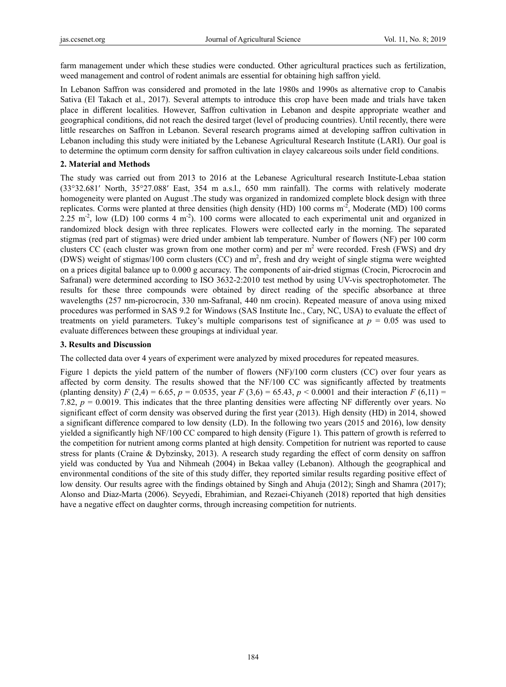farm management under which these studies were conducted. Other agricultural practices such as fertilization, weed management and control of rodent animals are essential for obtaining high saffron yield.

In Lebanon Saffron was considered and promoted in the late 1980s and 1990s as alternative crop to Canabis Sativa (El Takach et al., 2017). Several attempts to introduce this crop have been made and trials have taken place in different localities. However, Saffron cultivation in Lebanon and despite appropriate weather and geographical conditions, did not reach the desired target (level of producing countries). Until recently, there were little researches on Saffron in Lebanon. Several research programs aimed at developing saffron cultivation in Lebanon including this study were initiated by the Lebanese Agricultural Research Institute (LARI). Our goal is to determine the optimum corm density for saffron cultivation in clayey calcareous soils under field conditions.

## **2. Material and Methods**

The study was carried out from 2013 to 2016 at the Lebanese Agricultural research Institute-Lebaa station (33°32.681′ North, 35°27.088′ East, 354 m a.s.l., 650 mm rainfall). The corms with relatively moderate homogeneity were planted on August .The study was organized in randomized complete block design with three replicates. Corms were planted at three densities (high density (HD) 100 corms m<sup>-2</sup>, Moderate (MD) 100 corms 2.25 m<sup>-2</sup>, low (LD) 100 corms 4 m<sup>-2</sup>). 100 corms were allocated to each experimental unit and organized in randomized block design with three replicates. Flowers were collected early in the morning. The separated stigmas (red part of stigmas) were dried under ambient lab temperature. Number of flowers (NF) per 100 corm clusters CC (each cluster was grown from one mother corm) and per  $m<sup>2</sup>$  were recorded. Fresh (FWS) and dry (DWS) weight of stigmas/100 corm clusters (CC) and  $m^2$ , fresh and dry weight of single stigma were weighted on a prices digital balance up to 0.000 g accuracy. The components of air-dried stigmas (Crocin, Picrocrocin and Safranal) were determined according to ISO 3632-2:2010 test method by using UV-vis spectrophotometer. The results for these three compounds were obtained by direct reading of the specific absorbance at three wavelengths (257 nm-picrocrocin, 330 nm-Safranal, 440 nm crocin). Repeated measure of anova using mixed procedures was performed in SAS 9.2 for Windows (SAS Institute Inc., Cary, NC, USA) to evaluate the effect of treatments on yield parameters. Tukey's multiple comparisons test of significance at  $p = 0.05$  was used to evaluate differences between these groupings at individual year.

### **3. Results and Discussion**

The collected data over 4 years of experiment were analyzed by mixed procedures for repeated measures.

Figure 1 depicts the yield pattern of the number of flowers (NF)/100 corm clusters (CC) over four years as affected by corm density. The results showed that the NF/100 CC was significantly affected by treatments (planting density) *F* (2,4) = 6.65, *p* = 0.0535, year *F* (3,6) = 65.43, *p* < 0.0001 and their interaction *F* (6,11) = 7.82, *p* = 0.0019. This indicates that the three planting densities were affecting NF differently over years. No significant effect of corm density was observed during the first year (2013). High density (HD) in 2014, showed a significant difference compared to low density (LD). In the following two years (2015 and 2016), low density yielded a significantly high NF/100 CC compared to high density (Figure 1). This pattern of growth is referred to the competition for nutrient among corms planted at high density. Competition for nutrient was reported to cause stress for plants (Craine & Dybzinsky, 2013). A research study regarding the effect of corm density on saffron yield was conducted by Yua and Nihmeah (2004) in Bekaa valley (Lebanon). Although the geographical and environmental conditions of the site of this study differ, they reported similar results regarding positive effect of low density. Our results agree with the findings obtained by Singh and Ahuja (2012); Singh and Shamra (2017); Alonso and Diaz-Marta (2006). Seyyedi, Ebrahimian, and Rezaei-Chiyaneh (2018) reported that high densities have a negative effect on daughter corms, through increasing competition for nutrients.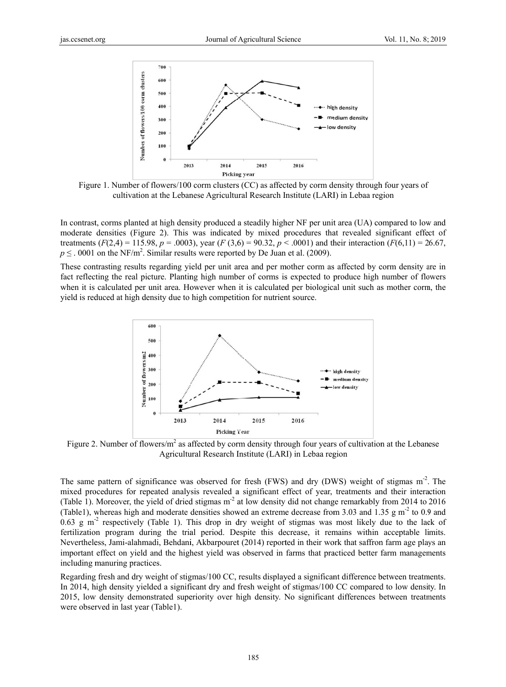

Figure 1. Number of flowers/100 corm clusters (CC) as affected by corm density through four years of cultivation at the Lebanese Agricultural Research Institute (LARI) in Lebaa region

In contrast, corms planted at high density produced a steadily higher NF per unit area (UA) compared to low and moderate densities (Figure 2). This was indicated by mixed procedures that revealed significant effect of treatments  $(F(2,4) = 115.98, p = .0003)$ , year  $(F(3,6) = 90.32, p < .0001)$  and their interaction  $(F(6,11) = 26.67, p < .0001)$  $p \leq 0.001$  on the NF/m<sup>2</sup>. Similar results were reported by De Juan et al. (2009).

These contrasting results regarding yield per unit area and per mother corm as affected by corm density are in fact reflecting the real picture. Planting high number of corms is expected to produce high number of flowers when it is calculated per unit area. However when it is calculated per biological unit such as mother corm, the yield is reduced at high density due to high competition for nutrient source.



Figure 2. Number of flowers/ $m^2$  as affected by corm density through four years of cultivation at the Lebanese Agricultural Research Institute (LARI) in Lebaa region

The same pattern of significance was observed for fresh (FWS) and dry (DWS) weight of stigmas m<sup>-2</sup>. The mixed procedures for repeated analysis revealed a significant effect of year, treatments and their interaction (Table 1). Moreover, the yield of dried stigmas m<sup>-2</sup> at low density did not change remarkably from 2014 to 2016 (Table1), whereas high and moderate densities showed an extreme decrease from 3.03 and 1.35 g m<sup>-2</sup> to 0.9 and  $0.63$  g m<sup>-2</sup> respectively (Table 1). This drop in dry weight of stigmas was most likely due to the lack of fertilization program during the trial period. Despite this decrease, it remains within acceptable limits. Nevertheless, Jami-alahmadi, Behdani, Akbarpouret (2014) reported in their work that saffron farm age plays an important effect on yield and the highest yield was observed in farms that practiced better farm managements including manuring practices.

Regarding fresh and dry weight of stigmas/100 CC, results displayed a significant difference between treatments. In 2014, high density yielded a significant dry and fresh weight of stigmas/100 CC compared to low density. In 2015, low density demonstrated superiority over high density. No significant differences between treatments were observed in last year (Table1).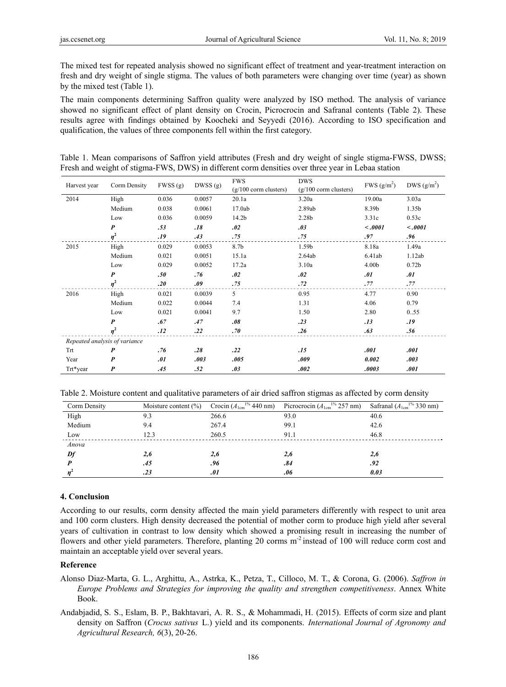The mixed test for repeated analysis showed no significant effect of treatment and year-treatment interaction on fresh and dry weight of single stigma. The values of both parameters were changing over time (year) as shown by the mixed test (Table 1).

The main components determining Saffron quality were analyzed by ISO method. The analysis of variance showed no significant effect of plant density on Crocin, Picrocrocin and Safranal contents (Table 2). These results agree with findings obtained by Koocheki and Seyyedi (2016). According to ISO specification and qualification, the values of three components fell within the first category.

| Table 1. Mean comparisons of Saffron yield attributes (Fresh and dry weight of single stigma-FWSS, DWSS; |  |  |  |  |
|----------------------------------------------------------------------------------------------------------|--|--|--|--|
| Fresh and weight of stigma-FWS, DWS) in different corm densities over three year in Lebaa station        |  |  |  |  |

| Harvest year                  | Corm Density     | FWSS (g) | DWSS(g) | <b>FWS</b>              | <b>DWS</b>              |                        | DWS $(g/m^2)$     |
|-------------------------------|------------------|----------|---------|-------------------------|-------------------------|------------------------|-------------------|
|                               |                  |          |         | $(g/100$ corm clusters) | $(g/100$ corm clusters) | FWS(g/m <sup>2</sup> ) |                   |
| 2014                          | High             | 0.036    | 0.0057  | 20.1a                   | 3.20a                   | 19.00a                 | 3.03a             |
|                               | Medium           | 0.038    | 0.0061  | 17.0ab                  | 2.89ab                  | 8.39b                  | 1.35 <sub>b</sub> |
|                               | Low              | 0.036    | 0.0059  | 14.2b                   | 2.28b                   | 3.31c                  | 0.53c             |
|                               | $\boldsymbol{P}$ | .53      | .18     | .02                     | .03                     | $-.0001$               | $-.0001$          |
|                               | $\eta^2$         | .19      | .43     | .75                     | .75                     | .97                    | .96               |
| 2015                          | High             | 0.029    | 0.0053  | 8.7b                    | 1.59b                   | 8.18a                  | 1.49a             |
|                               | Medium           | 0.021    | 0.0051  | 15.1a                   | 2.64ab                  | 6.41ab                 | 1.12ab            |
|                               | Low              | 0.029    | 0.0052  | 17.2a                   | 3.10a                   | 4.00b                  | 0.72 <sub>b</sub> |
|                               | $\boldsymbol{P}$ | .50      | .76     | .02                     | .02                     | .01                    | .01               |
|                               | $\eta^2$         | .20      | .09     | .75                     | .72                     | .77                    | .77               |
| 2016                          | High             | 0.021    | 0.0039  | 5                       | 0.95                    | 4.77                   | 0.90              |
|                               | Medium           | 0.022    | 0.0044  | 7.4                     | 1.31                    | 4.06                   | 0.79              |
|                               | Low              | 0.021    | 0.0041  | 9.7                     | 1.50                    | 2.80                   | 0.55              |
|                               | $\boldsymbol{P}$ | .67      | .47     | .08                     | .23                     | .13                    | .19               |
|                               | $\eta^2$         | .12      | .22     | .70                     | .26                     | .63                    | .56               |
| Repeated analysis of variance |                  |          |         |                         |                         |                        |                   |
| Trt                           | P                | .76      | .28     | .22                     | .15                     | .001                   | .001              |
| Year                          | P                | .01      | .003    | .005                    | .009                    | 0.002                  | .003              |
| Trt*year                      | P                | .45      | .52     | .03                     | .002                    | .0003                  | .001              |

Table 2. Moisture content and qualitative parameters of air dried saffron stigmas as affected by corm density

| Corm Density | Moisture content $(\% )$ | Crocin $(A_{1cm}^{1\%} 440 \text{ nm})$ | Picrocrocin $(A_{1cm}^{1\%} 257$ nm) | Safranal $(A_{1cm}^{1\%} 330$ nm) |
|--------------|--------------------------|-----------------------------------------|--------------------------------------|-----------------------------------|
| High         | 9.3                      | 266.6                                   | 93.0                                 | 40.6                              |
| Medium       | 9.4                      | 267.4                                   | 99.1                                 | 42.6                              |
| Low          | 12.3                     | 260.5                                   | 91.1                                 | 46.8                              |
| Anova        |                          |                                         |                                      |                                   |
| Df           | 2,6                      | 2,6                                     | 2,6                                  | 2,6                               |
|              | .45                      | .96                                     | .84                                  | .92                               |
|              | .23                      | .01                                     | .06                                  | 0.03                              |

#### **4. Conclusion**

According to our results, corm density affected the main yield parameters differently with respect to unit area and 100 corm clusters. High density decreased the potential of mother corm to produce high yield after several years of cultivation in contrast to low density which showed a promising result in increasing the number of flowers and other yield parameters. Therefore, planting 20 corms m<sup>-2</sup> instead of 100 will reduce corm cost and maintain an acceptable yield over several years.

# **Reference**

Alonso Diaz-Marta, G. L., Arghittu, A., Astrka, K., Petza, T., Cilloco, M. T., & Corona, G. (2006). *Saffron in Europe Problems and Strategies for improving the quality and strengthen competitiveness*. Annex White Book.

Andabjadid, S. S., Eslam, B. P., Bakhtavari, A. R. S., & Mohammadi, H. (2015). Effects of corm size and plant density on Saffron (*Crocus sativus* L.) yield and its components. *International Journal of Agronomy and Agricultural Research, 6*(3), 20-26.